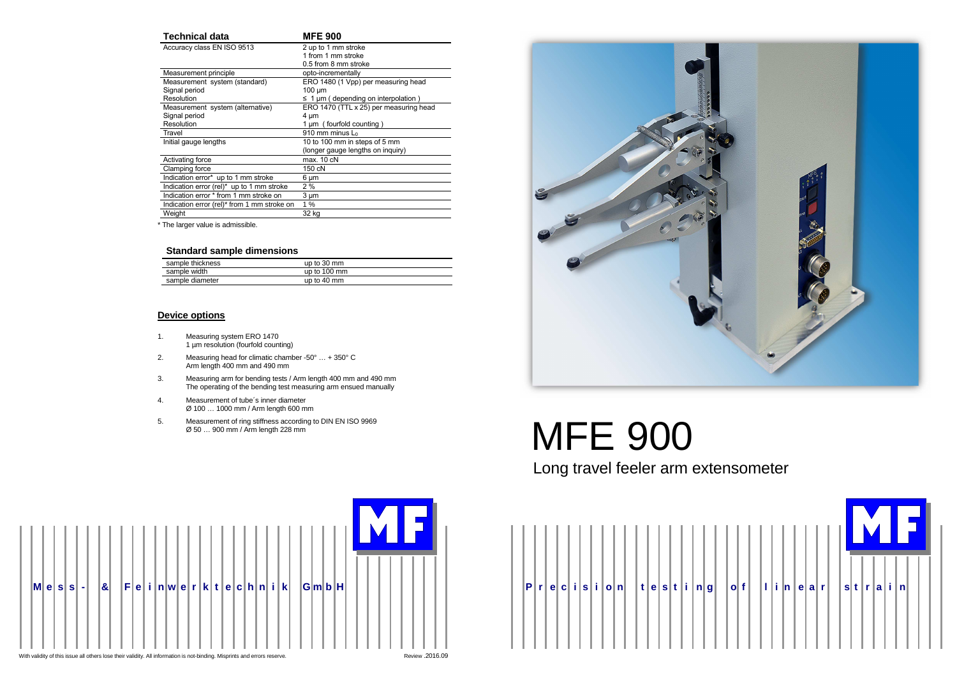



# 5. Measurement of ring stiffness according to DIN EN ISO 9969<br>  $\emptyset$  50 ... 900 mm / Arm length 228 mm<br>  $\blacksquare$

| <b>Technical data</b>                        | <b>MFE 900</b>                             |  |  |  |
|----------------------------------------------|--------------------------------------------|--|--|--|
| Accuracy class EN ISO 9513                   | 2 up to 1 mm stroke                        |  |  |  |
|                                              | 1 from 1 mm stroke                         |  |  |  |
|                                              | 0.5 from 8 mm stroke                       |  |  |  |
| Measurement principle                        | opto-incrementally                         |  |  |  |
| Measurement system (standard)                | ERO 1480 (1 Vpp) per measuring head        |  |  |  |
| Signal period                                | $100 \mu m$                                |  |  |  |
| Resolution                                   | $\leq$ 1 µm ( depending on interpolation ) |  |  |  |
| Measurement system (alternative)             | ERO 1470 (TTL x 25) per measuring head     |  |  |  |
| Signal period                                | 4 um                                       |  |  |  |
| Resolution                                   | 1 µm (fourfold counting)                   |  |  |  |
| Travel                                       | $910$ mm minus $\mathsf{L}_0$              |  |  |  |
| Initial gauge lengths                        | 10 to 100 mm in steps of 5 mm              |  |  |  |
|                                              | (longer gauge lengths on inquiry)          |  |  |  |
| Activating force                             | max. 10 cN                                 |  |  |  |
| Clamping force                               | 150 cN                                     |  |  |  |
| Indication error* up to 1 mm stroke          | 6 µm                                       |  |  |  |
| Indication error (rel) $*$ up to 1 mm stroke | 2%                                         |  |  |  |
| Indication error * from 1 mm stroke on       | $3 \mu m$                                  |  |  |  |
| Indication error (rel)* from 1 mm stroke on  | 1%                                         |  |  |  |
| Weight                                       | 32 kg                                      |  |  |  |

\* The larger value is admissible.

#### **Standard sample dimensions**

| sample thickness | up to $30 \text{ mm}$  |  |
|------------------|------------------------|--|
| sample width     | up to $100 \text{ mm}$ |  |
| sample diameter  | up to $40 \text{ mm}$  |  |

# **Device options**

- 1. Measuring system ERO 1470 1 µm resolution (fourfold counting)
- 2. Measuring head for climatic chamber -50° … + 350° C Arm length 400 mm and 490 mm
- 3. Measuring arm for bending tests / Arm length 400 mm and 490 mm The operating of the bending test measuring arm ensued manually
- 4. Measurement of tube´s inner diameter Ø 100 … 1000 mm / Arm length 600 mm
- 5. Measurement of ring stiffness according to DIN EN ISO 9969

# Long travel feeler arm extensometer